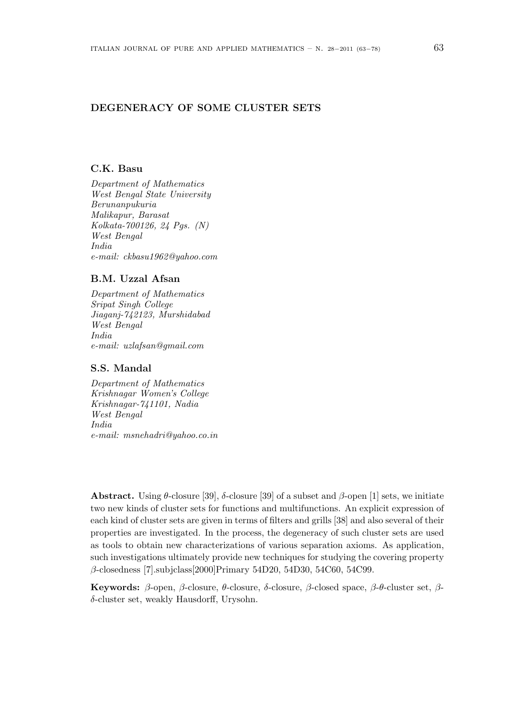## DEGENERACY OF SOME CLUSTER SETS

## C.K. Basu

Department of Mathematics West Bengal State University Berunanpukuria Malikapur, Barasat Kolkata-700126, 24 Pgs. (N) West Bengal India e-mail: ckbasu1962@yahoo.com

## B.M. Uzzal Afsan

Department of Mathematics Sripat Singh College Jiaganj-742123, Murshidabad West Bengal India e-mail: uzlafsan@gmail.com

# S.S. Mandal

Department of Mathematics Krishnagar Women's College Krishnagar-741101, Nadia West Bengal India e-mail: msnehadri@yahoo.co.in

Abstract. Using θ-closure [39], δ-closure [39] of a subset and β-open [1] sets, we initiate two new kinds of cluster sets for functions and multifunctions. An explicit expression of each kind of cluster sets are given in terms of filters and grills [38] and also several of their properties are investigated. In the process, the degeneracy of such cluster sets are used as tools to obtain new characterizations of various separation axioms. As application, such investigations ultimately provide new techniques for studying the covering property β-closedness [7].subjclass[2000]Primary 54D20, 54D30, 54C60, 54C99.

Keywords: β-open, β-closure, θ-closure, δ-closure, β-closed space, β-θ-cluster set, βδ-cluster set, weakly Hausdorff, Urysohn.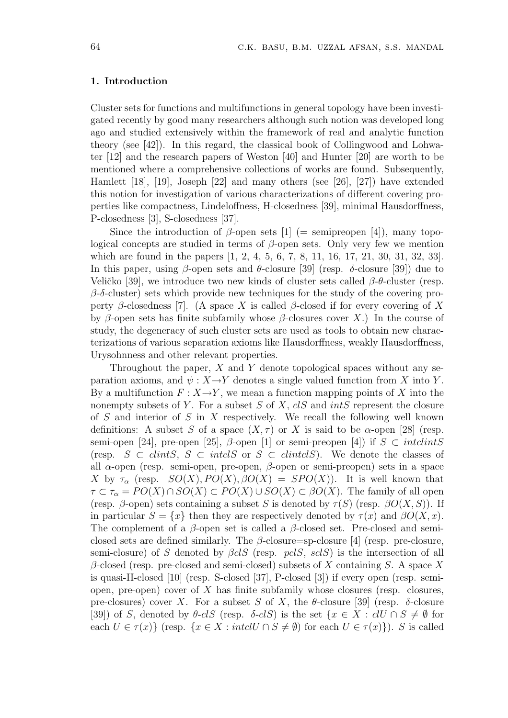### 1. Introduction

Cluster sets for functions and multifunctions in general topology have been investigated recently by good many researchers although such notion was developed long ago and studied extensively within the framework of real and analytic function theory (see [42]). In this regard, the classical book of Collingwood and Lohwater [12] and the research papers of Weston [40] and Hunter [20] are worth to be mentioned where a comprehensive collections of works are found. Subsequently, Hamlett [18], [19], Joseph [22] and many others (see [26], [27]) have extended this notion for investigation of various characterizations of different covering properties like compactness, Lindeloffness, H-closedness [39], minimal Hausdorffness, P-closedness [3], S-closedness [37].

Since the introduction of  $\beta$ -open sets [1] (= semipreopen [4]), many topological concepts are studied in terms of  $β$ -open sets. Only very few we mention which are found in the papers [1, 2, 4, 5, 6, 7, 8, 11, 16, 17, 21, 30, 31, 32, 33]. In this paper, using β-open sets and  $θ$ -closure [39] (resp. δ-closure [39]) due to Veličko [39], we introduce two new kinds of cluster sets called  $\beta$ -θ-cluster (resp.  $\beta$ -δ-cluster) sets which provide new techniques for the study of the covering property β-closedness [7]. (A space X is called β-closed if for every covering of X by β-open sets has finite subfamily whose β-closures cover X.) In the course of study, the degeneracy of such cluster sets are used as tools to obtain new characterizations of various separation axioms like Hausdorffness, weakly Hausdorffness, Urysohnness and other relevant properties.

Throughout the paper,  $X$  and  $Y$  denote topological spaces without any separation axioms, and  $\psi : X \rightarrow Y$  denotes a single valued function from X into Y. By a multifunction  $F: X \rightarrow Y$ , we mean a function mapping points of X into the nonempty subsets of Y. For a subset S of X,  $cIS$  and  $intS$  represent the closure of S and interior of S in X respectively. We recall the following well known definitions: A subset S of a space  $(X, \tau)$  or X is said to be  $\alpha$ -open [28] (resp. semi-open [24], pre-open [25],  $\beta$ -open [1] or semi-preopen [4]) if  $S \subset intclintS$ (resp.  $S \subset \text{clint } S$ ,  $S \subset \text{int } \text{cl } S$  or  $S \subset \text{clint } \text{cl } S$ ). We denote the classes of all  $\alpha$ -open (resp. semi-open, pre-open,  $\beta$ -open or semi-preopen) sets in a space X by  $\tau_{\alpha}$  (resp.  $SO(X), PO(X), \beta O(X) = SPO(X)$ ). It is well known that  $\tau \subset \tau_{\alpha} = PO(X) \cap SO(X) \subset PO(X) \cup SO(X) \subset BO(X)$ . The family of all open (resp.  $\beta$ -open) sets containing a subset S is denoted by  $\tau(S)$  (resp.  $\beta O(X, S)$ ). If in particular  $S = \{x\}$  then they are respectively denoted by  $\tau(x)$  and  $\beta O(X, x)$ . The complement of a  $\beta$ -open set is called a  $\beta$ -closed set. Pre-closed and semiclosed sets are defined similarly. The  $\beta$ -closure=sp-closure [4] (resp. pre-closure, semi-closure) of S denoted by  $\beta clS$  (resp. pclS, sclS) is the intersection of all  $\beta$ -closed (resp. pre-closed and semi-closed) subsets of X containing S. A space X is quasi-H-closed [10] (resp. S-closed [37], P-closed [3]) if every open (resp. semiopen, pre-open) cover of  $X$  has finite subfamily whose closures (resp. closures, pre-closures) cover X. For a subset S of X, the  $\theta$ -closure [39] (resp.  $\delta$ -closure [39]) of S, denoted by  $\theta$ -clS (resp.  $\delta$ -clS) is the set  $\{x \in X : clU \cap S \neq \emptyset\}$  for each  $U \in \tau(x)$  (resp.  $\{x \in X : \text{intcl } U \cap S \neq \emptyset$ ) for each  $U \in \tau(x)$ ). S is called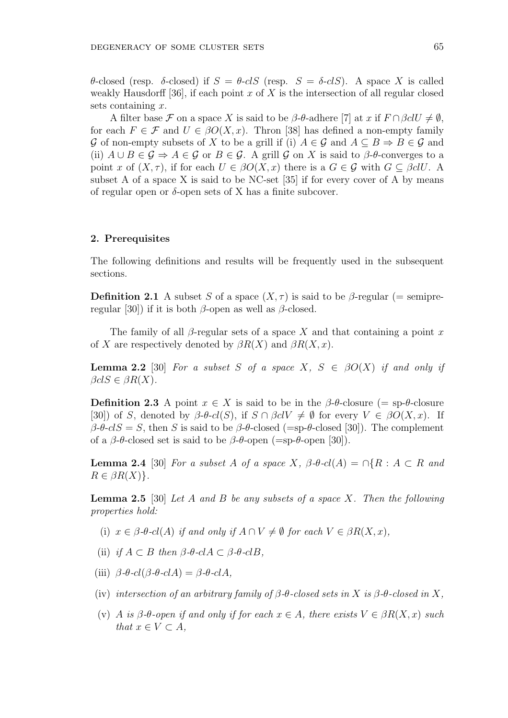θ-closed (resp. δ-closed) if S = θ-clS (resp. S = δ-clS). A space X is called weakly Hausdorff [36], if each point x of X is the intersection of all regular closed sets containing  $x$ .

A filter base F on a space X is said to be  $\beta$ -θ-adhere [7] at x if  $F \cap \beta clU \neq \emptyset$ , for each  $F \in \mathcal{F}$  and  $U \in \beta O(X, x)$ . Thron [38] has defined a non-empty family G of non-empty subsets of X to be a grill if (i)  $A \in \mathcal{G}$  and  $A \subseteq B \Rightarrow B \in \mathcal{G}$  and (ii)  $A \cup B \in \mathcal{G} \Rightarrow A \in \mathcal{G}$  or  $B \in \mathcal{G}$ . A grill  $\mathcal{G}$  on X is said to  $\beta$ - $\theta$ -converges to a point x of  $(X, \tau)$ , if for each  $U \in \beta O(X, x)$  there is a  $G \in \mathcal{G}$  with  $G \subset \beta clU$ . A subset A of a space X is said to be NC-set  $[35]$  if for every cover of A by means of regular open or  $\delta$ -open sets of X has a finite subcover.

#### 2. Prerequisites

The following definitions and results will be frequently used in the subsequent sections.

**Definition 2.1** A subset S of a space  $(X, \tau)$  is said to be  $\beta$ -regular (= semipreregular [30]) if it is both  $\beta$ -open as well as  $\beta$ -closed.

The family of all β-regular sets of a space X and that containing a point x of X are respectively denoted by  $\beta R(X)$  and  $\beta R(X, x)$ .

**Lemma 2.2** [30] For a subset S of a space X,  $S \in \beta O(X)$  if and only if  $\beta clS \in \beta R(X)$ .

**Definition 2.3** A point  $x \in X$  is said to be in the  $\beta$ - $\theta$ -closure (= sp- $\theta$ -closure [30]) of S, denoted by  $\beta$ - $\theta$ - $cl(S)$ , if  $S \cap \beta clV \neq \emptyset$  for every  $V \in \beta O(X, x)$ . If  $\beta$ -θ-clS = S, then S is said to be  $\beta$ -θ-closed (=sp-θ-closed [30]). The complement of a  $\beta$ -θ-closed set is said to be  $\beta$ -θ-open (=sp-θ-open [30]).

**Lemma 2.4** [30] For a subset A of a space X,  $\beta$ - $\theta$ -cl(A) =  $\bigcap \{R : A \subset R \text{ and } R\}$  $R \in \beta R(X)$ .

**Lemma 2.5** [30] Let A and B be any subsets of a space X. Then the following properties hold:

- (i)  $x \in \beta$ - $el(A)$  if and only if  $A \cap V \neq \emptyset$  for each  $V \in \beta R(X, x)$ ,
- (ii) if  $A \subset B$  then  $\beta$ - $\theta$ - $c\ell A \subset \beta$ - $\theta$ - $c\ell B$ ,
- (iii)  $\beta$ - $\theta$ -cl( $\beta$ - $\theta$ -clA) =  $\beta$ - $\theta$ -clA,
- (iv) intersection of an arbitrary family of  $\beta$ - $\theta$ -closed sets in X is  $\beta$ - $\theta$ -closed in X,
- (v) A is  $\beta$ - $\theta$ -open if and only if for each  $x \in A$ , there exists  $V \in \beta R(X, x)$  such that  $x \in V \subset A$ ,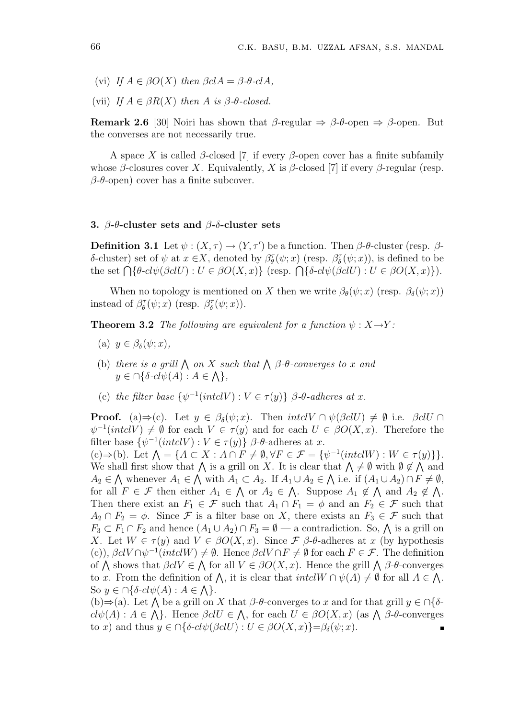(vi) If  $A \in \beta O(X)$  then  $\beta c A = \beta \cdot c A$ ,

(vii) If  $A \in \beta R(X)$  then A is  $\beta$ - $\theta$ -closed.

Remark 2.6 [30] Noiri has shown that  $\beta$ -regular  $\Rightarrow \beta$ - $\theta$ -open  $\Rightarrow \beta$ -open. But the converses are not necessarily true.

A space X is called  $\beta$ -closed [7] if every  $\beta$ -open cover has a finite subfamily whose  $\beta$ -closures cover X. Equivalently, X is  $\beta$ -closed [7] if every  $\beta$ -regular (resp.  $\beta$ - $\theta$ -open) cover has a finite subcover.

#### 3. β-θ-cluster sets and β-δ-cluster sets

**Definition 3.1** Let  $\psi$  :  $(X, \tau) \rightarrow (Y, \tau')$  be a function. Then  $\beta$ - $\theta$ -cluster (resp.  $\beta$ δ-cluster) set of  $ψ$  at  $x ∈ X$ , denoted by  $β<sub>θ</sub><sup>τ</sup>(ψ; x)$  (resp.  $β<sub>δ</sub><sup>τ</sup>(ψ; x)$ ), is defined to be  $\sigma$ -cruster) set of ψ at  $x \in \Lambda$ , denoted by  $\rho_{\theta}(\psi; x)$  (resp.  $\rho_{\delta}(\psi; x)$ ), is denoted to be<br>the set  $\bigcap {\theta \in cl\psi(\beta clU) : U \in \beta O(X, x)}$  (resp.  $\bigcap {\delta \in cl\psi(\beta clU) : U \in \beta O(X, x)}$ ).

When no topology is mentioned on X then we write  $\beta_{\theta}(\psi; x)$  (resp.  $\beta_{\delta}(\psi; x)$ ) instead of  $\beta_{\theta}^{\tau}(\psi; x)$  (resp.  $\beta_{\delta}^{\tau}(\psi; x)$ ).

**Theorem 3.2** The following are equivalent for a function  $\psi : X \rightarrow Y$ :

- (a)  $y \in \beta_{\delta}(\psi; x)$ ,
- (b) there is a grill  $\bigwedge$  on X such that  $\bigwedge$   $\beta$ - $\theta$ -converges to x and  $y \in \bigcap \{\delta \text{-}cl\psi(A) : A \in \bigwedge\},\$
- (c) the filter base  $\{\psi^{-1}(intclV) : V \in \tau(y)\}\beta$ - $\theta$ -adheres at x.

**Proof.** (a)⇒(c). Let  $y \in \beta_{\delta}(\psi; x)$ . Then  $intclV \cap \psi(\beta clU) \neq \emptyset$  i.e.  $\beta clU \cap \beta$  $\psi^{-1}(intclV) \neq \emptyset$  for each  $V \in \tau(y)$  and for each  $U \in \beta O(X, x)$ . Therefore the filter base  $\{\psi^{-1}(intclV) : V \in \tau(y)\}\beta$ - $\theta$ -adheres at x.

inter base  $\{\psi^{-1}(intcv) : v \in \Upsilon(y)\}\n\rho$ -admeres at x.<br>
(c)⇒(b). Let  $\Lambda = \{A \subset X : A \cap F \neq \emptyset, \forall F \in \mathcal{F} = \{\psi^{-1}(intclW) : W \in \Upsilon(y)\}\}.$ (c)  $\Rightarrow$  (b). Let  $\Lambda = \{A \subseteq \Lambda : A \cap F \neq \emptyset, \forall F \in \mathcal{F} \neq \emptyset \}$  (there  $\emptyset$  is  $\emptyset \notin \Lambda$  and We shall first show that  $\Lambda$  is a grill on X. It is clear that  $\Lambda \neq \emptyset$  with  $\emptyset \notin \Lambda$  and  $A_2 \in \bigwedge$  whenever  $A_1 \in \bigwedge$  with  $A_1 \subset A_2$ . If  $A_1 \cup A_2 \in \bigwedge$  i.e. if  $(A_1 \cup A_2) \cap F \neq \emptyset$ , for all  $F \in \mathcal{F}$  then either  $A_1 \in \bigwedge$  or  $A_2 \in \bigwedge$ . Suppose  $A_1 \notin \bigwedge$  and  $A_2 \notin \bigwedge$ . Then there exist an  $F_1 \in \mathcal{F}$  such that  $A_1 \cap F_1 = \phi$  and an  $F_2 \in \mathcal{F}$  such that  $A_2 \cap F_2 = \phi$ . Since F is a filter base on X, there exists an  $F_3 \in \mathcal{F}$  such that  $F_3 \subset F_1 \cap F_2$  and hence  $(A_1 \cup A_2) \cap F_3 = \emptyset$  — a contradiction. So,  $\bigwedge$  is a grill on  $F_3 \subset F_1 \cap F_2$  and hence  $(A_1 \cup A_2) \cap F_3 = \emptyset$  — a contradiction. So,  $\bigwedge$  is a grill on X. Let  $W \in \tau(y)$  and  $V \in \beta O(X, x)$ . Since  $\mathcal F$   $\beta$ - $\theta$ -adheres at x (by hypothesis (c)),  $\beta c V \cap \psi^{-1}(int c W) \neq \emptyset$ . Hence  $\beta c V \cap F \neq \emptyset$  for each  $F \in \mathcal{F}$ . The definition (c)),  $\beta c V \mid \psi$  (*thictw*)  $\neq \psi$ . Hence  $\beta c V \mid F \neq \psi$  for each  $F \in \mathcal{F}$ . The definition<br>of  $\Lambda$  shows that  $\beta c V \in \Lambda$  for all  $V \in \beta O(X, x)$ . Hence the grill  $\Lambda \beta$ - $\theta$ -converges or  $\Lambda$  shows that  $\rho c \nu \in \Lambda$  for all  $\nu \in \rho O(\Lambda, x)$ . Hence the grin  $\Lambda$   $\rho$ - $\sigma$ -converges<br>to x. From the definition of  $\Lambda$ , it is clear that  $int \nu(A) \neq \emptyset$  for all  $A \in \Lambda$ . So  $y \in \bigcap \{\delta \text{-}cl\psi(A) : A \in \bigwedge\}.$ 

 $(b) \Rightarrow (a)$ . Let  $\bigwedge$  be a grill on X that  $\beta$ - $\theta$ -converges to x and for that grill  $y \in \bigcap \{\delta$ -(b)  $\Rightarrow$  (a). Let  $\bigwedge$  be a grin on  $\Lambda$  that  $\rho$ - $\sigma$ -converges to  $x$  and for that grin  $y \in \mathbb{N}$   $\sigma$ -<br>cl $\psi(A) : A \in \bigwedge$ . Hence  $\beta c l U \in \bigwedge$ , for each  $U \in \beta O(X, x)$  (as  $\bigwedge$   $\beta$ - $\theta$ -converges to x) and thus  $y \in \bigcap \{\delta \text{-}cl\psi(\beta \text{cl} U) : U \in \beta O(X, x)\} = \beta_{\delta}(\psi; x)$ .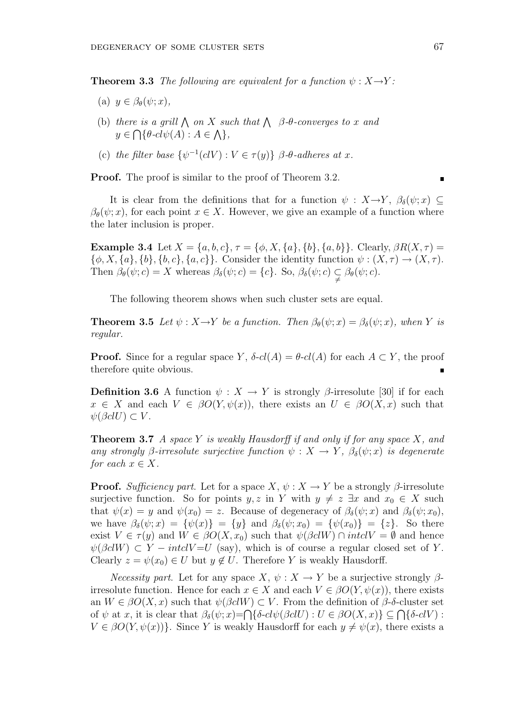**Theorem 3.3** The following are equivalent for a function  $\psi : X \rightarrow Y$ :

- (a)  $y \in \beta_{\theta}(\psi; x)$ ,
- (b) there is a grill  $\bigwedge$  on X such that  $\bigwedge$   $\beta$ - $\theta$ -converges to x and  $y \in \bigcap \{\theta \text{-}cl\psi(A) : A \in \bigwedge \},\$
- (c) the filter base  $\{\psi^{-1}(cIV): V \in \tau(y)\}\; \beta$ - $\theta$ -adheres at x.

Proof. The proof is similar to the proof of Theorem 3.2.

It is clear from the definitions that for a function  $\psi : X \rightarrow Y, \ \beta_{\delta}(\psi; x) \subseteq$  $\beta_{\theta}(\psi; x)$ , for each point  $x \in X$ . However, we give an example of a function where the later inclusion is proper.

Example 3.4 Let  $X = \{a, b, c\}, \tau = \{\phi, X, \{a\}, \{b\}, \{a, b\}\}.$  Clearly,  $\beta R(X, \tau) =$  ${\phi, X, \{a\}, \{b\}, \{b, c\}, \{a, c\}}$ . Consider the identity function  $\psi : (X, \tau) \to (X, \tau)$ . Then  $\beta_{\theta}(\psi; c) = X$  whereas  $\beta_{\delta}(\psi; c) = \{c\}$ . So,  $\beta_{\delta}(\psi; c) \subsetneq \beta_{\theta}(\psi; c)$ .

The following theorem shows when such cluster sets are equal.

**Theorem 3.5** Let  $\psi$  :  $X \rightarrow Y$  be a function. Then  $\beta_{\theta}(\psi; x) = \beta_{\delta}(\psi; x)$ , when Y is regular.

**Proof.** Since for a regular space Y,  $\delta$ -cl(A) =  $\theta$ -cl(A) for each  $A \subset Y$ , the proof therefore quite obvious.

**Definition 3.6** A function  $\psi: X \to Y$  is strongly  $\beta$ -irresolute [30] if for each  $x \in X$  and each  $V \in \beta O(Y, \psi(x))$ , there exists an  $U \in \beta O(X, x)$  such that  $\psi(\beta c l U) \subset V$ .

**Theorem 3.7** A space Y is weakly Hausdorff if and only if for any space X, and any strongly β-irresolute surjective function  $\psi : X \to Y$ ,  $\beta_{\delta}(\psi; x)$  is degenerate for each  $x \in X$ .

**Proof.** Sufficiency part. Let for a space  $X, \psi : X \to Y$  be a strongly  $\beta$ -irresolute surjective function. So for points y, z in Y with  $y \neq z \exists x$  and  $x_0 \in X$  such that  $\psi(x) = y$  and  $\psi(x_0) = z$ . Because of degeneracy of  $\beta_\delta(\psi; x)$  and  $\beta_\delta(\psi; x_0)$ , we have  $\beta_{\delta}(\psi; x) = {\psi(x)} = {y}$  and  $\beta_{\delta}(\psi; x_0) = {\psi(x_0)} = {z}$ . So there exist  $V \in \tau(y)$  and  $W \in \beta O(X, x_0)$  such that  $\psi(\beta c l W) \cap \text{int} c l V = \emptyset$  and hence  $\psi(\beta c l W) \subset Y-intel V = U$  (say), which is of course a regular closed set of Y. Clearly  $z = \psi(x_0) \in U$  but  $y \notin U$ . Therefore Y is weakly Hausdorff.

*Necessity part.* Let for any space  $X, \psi : X \to Y$  be a surjective strongly  $\beta$ irresolute function. Hence for each  $x \in X$  and each  $V \in \beta O(Y, \psi(x))$ , there exists an  $W \in \beta O(X, x)$  such that  $\psi(\beta c l W) \subset V$ . From the definition of  $\beta$ -δ-cluster set an  $W \in \text{PO}(X, x)$  such that  $\psi(\text{DCW}) \subset V$ . From the definition of  $p$ -*o*-cluster set<br>of  $\psi$  at x, it is clear that  $\beta_{\delta}(\psi; x) = \bigcap \{\delta \text{-}cl\psi(\beta \text{cl}U) : U \in \beta O(X, x) \} \subseteq \bigcap \{\delta \text{-}clV\}$ :  $V \in \beta O(Y, \psi(x))$ . Since Y is weakly Hausdorff for each  $y \neq \psi(x)$ , there exists a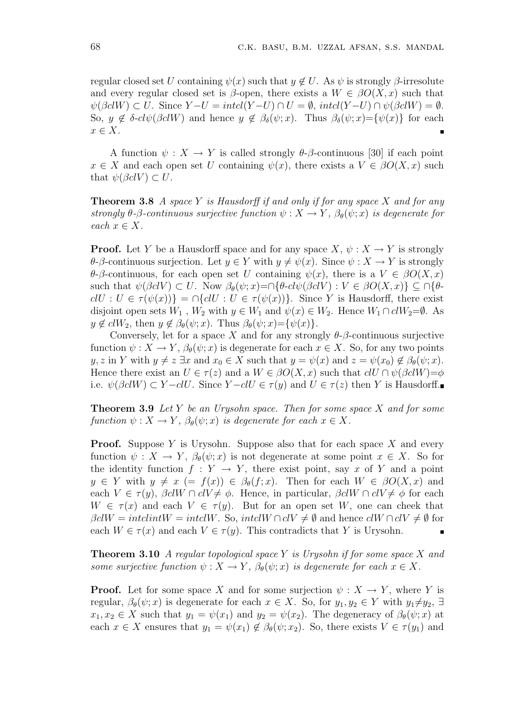regular closed set U containing  $\psi(x)$  such that  $y \notin U$ . As  $\psi$  is strongly  $\beta$ -irresolute and every regular closed set is  $\beta$ -open, there exists a  $W \in \beta O(X, x)$  such that  $\psi(\beta c l W) \subset U$ . Since  $Y - U = \text{intcl}(Y - U) \cap U = \emptyset$ ,  $\text{intcl}(Y - U) \cap \psi(\beta c l W) = \emptyset$ . So,  $y \notin \delta$ -cl $\psi(\beta c l W)$  and hence  $y \notin \beta_{\delta}(\psi; x)$ . Thus  $\beta_{\delta}(\psi; x) = {\psi(x)}$  for each  $x \in X$ .

A function  $\psi: X \to Y$  is called strongly  $\theta$ - $\beta$ -continuous [30] if each point  $x \in X$  and each open set U containing  $\psi(x)$ , there exists a  $V \in \beta O(X, x)$  such that  $\psi(\beta c l V) \subset U$ .

**Theorem 3.8** A space Y is Hausdorff if and only if for any space X and for any strongly  $\theta$ - $\beta$ -continuous surjective function  $\psi : X \to Y$ ,  $\beta_{\theta}(\psi; x)$  is degenerate for each  $x \in X$ .

**Proof.** Let Y be a Hausdorff space and for any space  $X, \psi : X \to Y$  is strongly θ-β-continuous surjection. Let  $y ∈ Y$  with  $y ≠ ψ(x)$ . Since  $ψ : X → Y$  is strongly θ-β-continuous, for each open set U containing  $\psi(x)$ , there is a  $V \in \beta O(X, x)$ such that  $\psi(\beta c V) \subset U$ . Now  $\beta_{\theta}(\psi; x) = \bigcap \{\theta - c l \psi(\beta c V) : V \in \beta O(X, x) \} \subseteq \bigcap \{\theta - c l \psi(\beta c V) : V \in \beta O(X, x) \}$  $clU : U \in \tau(\psi(x))$  =  $\cap$ { $clU : U \in \tau(\psi(x))$ }. Since Y is Hausdorff, there exist disjoint open sets  $W_1$ ,  $W_2$  with  $y \in W_1$  and  $\psi(x) \in W_2$ . Hence  $W_1 \cap \text{cl} W_2 = \emptyset$ . As  $y \notin \text{cl}W_2$ , then  $y \notin \beta_\theta(\psi; x)$ . Thus  $\beta_\theta(\psi; x) = {\psi(x)}$ .

Conversely, let for a space X and for any strongly  $\theta$ - $\beta$ -continuous surjective function  $\psi: X \to Y$ ,  $\beta_{\theta}(\psi; x)$  is degenerate for each  $x \in X$ . So, for any two points y, z in Y with  $y \neq z \exists x$  and  $x_0 \in X$  such that  $y = \psi(x)$  and  $z = \psi(x_0) \notin \beta_\theta(\psi; x)$ . Hence there exist an  $U \in \tau(z)$  and a  $W \in \beta O(X, x)$  such that  $clU \cap \psi(\beta clW) = \phi$ i.e.  $\psi(\beta c l W) \subset Y - c l U$ . Since  $Y - c l U \in \tau(y)$  and  $U \in \tau(z)$  then Y is Hausdorff.

**Theorem 3.9** Let Y be an Urysohn space. Then for some space X and for some function  $\psi: X \to Y$ ,  $\beta_{\theta}(\psi; x)$  is degenerate for each  $x \in X$ .

**Proof.** Suppose Y is Urysohn. Suppose also that for each space X and every function  $\psi: X \to Y$ ,  $\beta_{\theta}(\psi; x)$  is not degenerate at some point  $x \in X$ . So for the identity function  $f: Y \to Y$ , there exist point, say x of Y and a point  $y \in Y$  with  $y \neq x$  (=  $f(x)$ )  $\in \beta_{\theta}(f; x)$ . Then for each  $W \in \beta O(X, x)$  and each  $V \in \tau(y)$ ,  $\beta c l W \cap c l V \neq \phi$ . Hence, in particular,  $\beta c l W \cap c l V \neq \phi$  for each  $W \in \tau(x)$  and each  $V \in \tau(y)$ . But for an open set W, one can cheek that  $\beta \text{cl} W = \text{intcl} W = \text{intcl} W$ . So,  $\text{intcl} W \cap \text{cl} V \neq \emptyset$  and hence  $\text{cl} W \cap \text{cl} V \neq \emptyset$  for each  $W \in \tau(x)$  and each  $V \in \tau(y)$ . This contradicts that Y is Urysohn.

**Theorem 3.10** A regular topological space Y is Urysohn if for some space X and some surjective function  $\psi: X \to Y$ ,  $\beta_{\theta}(\psi; x)$  is degenerate for each  $x \in X$ .

**Proof.** Let for some space X and for some surjection  $\psi : X \to Y$ , where Y is regular,  $\beta_{\theta}(\psi; x)$  is degenerate for each  $x \in X$ . So, for  $y_1, y_2 \in Y$  with  $y_1 \neq y_2$ ,  $\exists$  $x_1, x_2 \in X$  such that  $y_1 = \psi(x_1)$  and  $y_2 = \psi(x_2)$ . The degeneracy of  $\beta_\theta(\psi; x)$  at each  $x \in X$  ensures that  $y_1 = \psi(x_1) \notin \beta_\theta(\psi; x_2)$ . So, there exists  $V \in \tau(y_1)$  and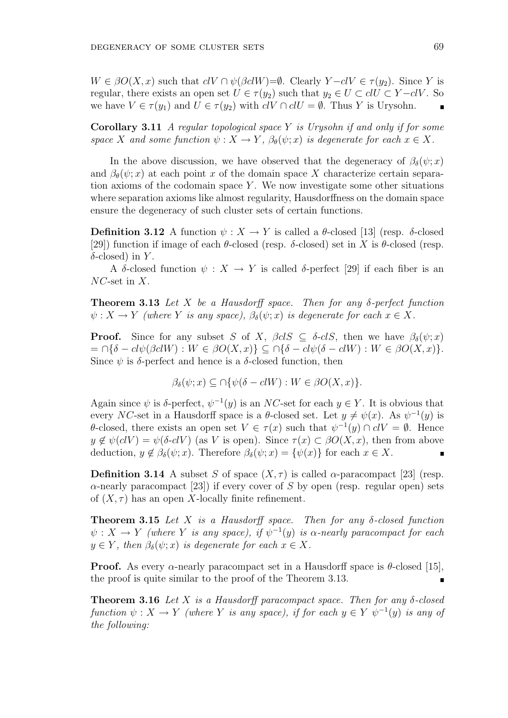$W \in \beta O(X, x)$  such that  $cV \cap \psi(\beta c l W) = \emptyset$ . Clearly  $Y - c l V \in \tau(y_2)$ . Since Y is regular, there exists an open set  $U \in \tau(y_2)$  such that  $y_2 \in U \subset clU \subset Y-clV$ . So we have  $V \in \tau(y_1)$  and  $U \in \tau(y_2)$  with  $c: \mathcal{U} \cap \overline{c} \mathcal{U} = \emptyset$ . Thus Y is Urysohn.

**Corollary 3.11** A regular topological space Y is Urysohn if and only if for some space X and some function  $\psi: X \to Y$ ,  $\beta_{\theta}(\psi; x)$  is degenerate for each  $x \in X$ .

In the above discussion, we have observed that the degeneracy of  $\beta_{\delta}(\psi; x)$ and  $\beta_{\theta}(\psi; x)$  at each point x of the domain space X characterize certain separation axioms of the codomain space  $Y$ . We now investigate some other situations where separation axioms like almost regularity, Hausdorffness on the domain space ensure the degeneracy of such cluster sets of certain functions.

**Definition 3.12** A function  $\psi: X \to Y$  is called a  $\theta$ -closed [13] (resp.  $\delta$ -closed [29]) function if image of each  $\theta$ -closed (resp.  $\delta$ -closed) set in X is  $\theta$ -closed (resp.  $\delta$ -closed) in Y.

A δ-closed function  $\psi : X \to Y$  is called δ-perfect [29] if each fiber is an  $NC$ -set in  $X$ .

**Theorem 3.13** Let X be a Hausdorff space. Then for any  $\delta$ -perfect function  $\psi: X \to Y$  (where Y is any space),  $\beta_{\delta}(\psi; x)$  is degenerate for each  $x \in X$ .

**Proof.** Since for any subset S of X,  $\beta c \leq \delta - c \leq S$ , then we have  $\beta_{\delta}(\psi; x)$  $= \bigcap \{\delta - cl\psi(\beta clW) : W \in \beta O(X,x)\}\subseteq \bigcap \{\delta - cl\psi(\delta - clW) : W \in \beta O(X,x)\}.$ Since  $\psi$  is  $\delta$ -perfect and hence is a  $\delta$ -closed function, then

$$
\beta_{\delta}(\psi; x) \subseteq \bigcap \{\psi(\delta - clW) : W \in \beta O(X, x)\}.
$$

Again since  $\psi$  is  $\delta$ -perfect,  $\psi^{-1}(y)$  is an NC-set for each  $y \in Y$ . It is obvious that every NC-set in a Hausdorff space is a  $\theta$ -closed set. Let  $y \neq \psi(x)$ . As  $\psi^{-1}(y)$  is θ-closed, there exists an open set  $V ∈ τ(x)$  such that  $ψ^{-1}(y) ∩ clV = ∅$ . Hence  $y \notin \psi(clV) = \psi(\delta-clV)$  (as V is open). Since  $\tau(x) \subset \beta O(X, x)$ , then from above deduction,  $y \notin \beta_{\delta}(\psi; x)$ . Therefore  $\beta_{\delta}(\psi; x) = {\psi(x)}$  for each  $x \in X$ .

**Definition 3.14** A subset S of space  $(X, \tau)$  is called  $\alpha$ -paracompact [23] (resp.  $\alpha$ -nearly paracompact [23]) if every cover of S by open (resp. regular open) sets of  $(X, \tau)$  has an open X-locally finite refinement.

**Theorem 3.15** Let X is a Hausdorff space. Then for any  $\delta$ -closed function  $\psi: X \to Y$  (where Y is any space), if  $\psi^{-1}(y)$  is  $\alpha$ -nearly paracompact for each  $y \in Y$ , then  $\beta_{\delta}(\psi; x)$  is degenerate for each  $x \in X$ .

**Proof.** As every  $\alpha$ -nearly paracompact set in a Hausdorff space is  $\theta$ -closed [15], the proof is quite similar to the proof of the Theorem 3.13.

**Theorem 3.16** Let X is a Hausdorff paracompact space. Then for any  $\delta$ -closed function  $\psi: X \to Y$  (where Y is any space), if for each  $y \in Y$   $\psi^{-1}(y)$  is any of the following: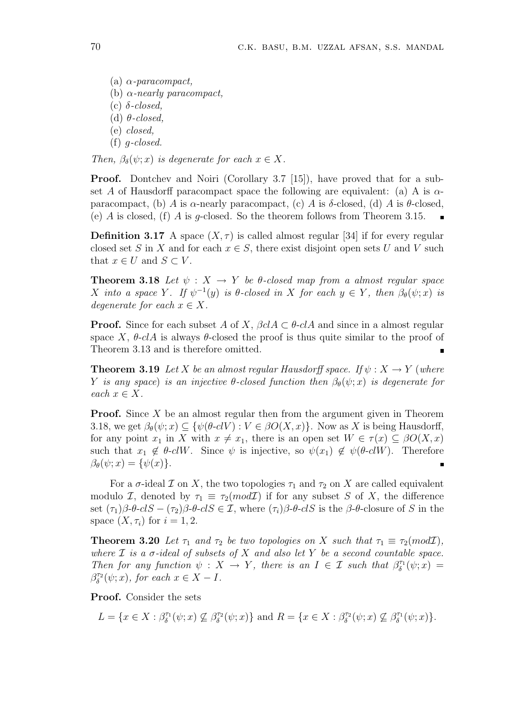(a)  $\alpha$ -paracompact, (b)  $\alpha$ -nearly paracompact, (c)  $\delta$ -closed, (d)  $\theta$ -closed, (e) closed,  $(f)$  *q-closed.* 

Then,  $\beta_{\delta}(\psi; x)$  is degenerate for each  $x \in X$ .

**Proof.** Dontchev and Noiri (Corollary 3.7 [15]), have proved that for a subset A of Hausdorff paracompact space the following are equivalent: (a) A is  $\alpha$ paracompact, (b) A is  $\alpha$ -nearly paracompact, (c) A is  $\delta$ -closed, (d) A is  $\theta$ -closed, (e) A is closed, (f) A is g-closed. So the theorem follows from Theorem 3.15.

**Definition 3.17** A space  $(X, \tau)$  is called almost regular [34] if for every regular closed set S in X and for each  $x \in S$ , there exist disjoint open sets U and V such that  $x \in U$  and  $S \subset V$ .

**Theorem 3.18** Let  $\psi$  :  $X \rightarrow Y$  be  $\theta$ -closed map from a almost regular space X into a space Y. If  $\psi^{-1}(y)$  is  $\theta$ -closed in X for each  $y \in Y$ , then  $\beta_{\theta}(\psi; x)$  is degenerate for each  $x \in X$ .

**Proof.** Since for each subset A of X,  $\beta c \in A \subset \theta - c \in A$  and since in a almost regular space X,  $\theta$ -clA is always  $\theta$ -closed the proof is thus quite similar to the proof of Theorem 3.13 and is therefore omitted. É

**Theorem 3.19** Let X be an almost regular Hausdorff space. If  $\psi: X \to Y$  (where Y is any space) is an injective  $\theta$ -closed function then  $\beta_{\theta}(\psi; x)$  is degenerate for each  $x \in X$ .

**Proof.** Since  $X$  be an almost regular then from the argument given in Theorem 3.18, we get  $\beta_{\theta}(\psi; x) \subseteq {\psi(\theta \text{-} c V) : V \in \beta O(X, x)}$ . Now as X is being Hausdorff, for any point  $x_1$  in X with  $x \neq x_1$ , there is an open set  $W \in \tau(x) \subseteq \beta O(X, x)$ such that  $x_1 \notin \theta$ -clW. Since  $\psi$  is injective, so  $\psi(x_1) \notin \psi(\theta$ -clW). Therefore  $\beta_{\theta}(\psi; x) = {\psi(x)}$ .

For a  $\sigma$ -ideal  $\mathcal I$  on X, the two topologies  $\tau_1$  and  $\tau_2$  on X are called equivalent modulo I, denoted by  $\tau_1 \equiv \tau_2 \pmod{\mathcal{I}}$  if for any subset S of X, the difference set  $(\tau_1)\beta-\theta-clS-(\tau_2)\beta-\theta-clS\in\mathcal{I}$ , where  $(\tau_i)\beta-\theta-clS$  is the  $\beta-\theta$ -closure of S in the space  $(X, \tau_i)$  for  $i = 1, 2$ .

**Theorem 3.20** Let  $\tau_1$  and  $\tau_2$  be two topologies on X such that  $\tau_1 \equiv \tau_2 (mod\mathcal{I}),$ where  $\mathcal I$  is a  $\sigma$ -ideal of subsets of  $X$  and also let  $Y$  be a second countable space. Then for any function  $\psi : X \to Y$ , there is an  $I \in \mathcal{I}$  such that  $\beta_{\delta}^{\tau_1}(\psi; x) =$  $\beta_{\delta}^{\tau_2}(\psi; x)$ , for each  $x \in X - I$ .

Proof. Consider the sets

$$
L = \{x \in X : \beta_{\delta}^{\tau_1}(\psi; x) \nsubseteq \beta_{\delta}^{\tau_2}(\psi; x)\} \text{ and } R = \{x \in X : \beta_{\delta}^{\tau_2}(\psi; x) \nsubseteq \beta_{\delta}^{\tau_1}(\psi; x)\}.
$$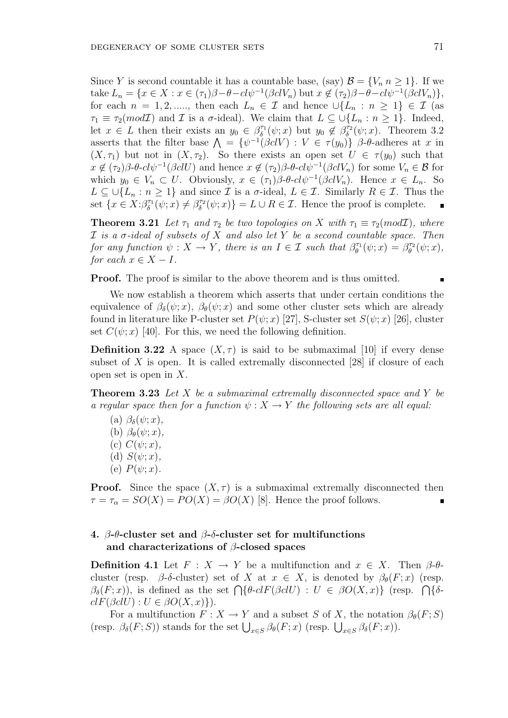Since Y is second countable it has a countable base, (say)  $\mathcal{B} = \{V_n \mid n \geq 1\}$ . If we take  $L_n = \{x \in X : x \in (\tau_1)\beta - \theta - cl\psi^{-1}(\beta clV_n) \text{ but } x \notin (\tau_2)\beta - \theta - cl\psi^{-1}(\beta clV_n) \},\$ for each  $n = 1, 2, \dots,$  then each  $L_n \in \mathcal{I}$  and hence  $\cup \{L_n : n \geq 1\} \in \mathcal{I}$  (as  $\tau_1 \equiv \tau_2(mod\mathcal{I})$  and  $\mathcal I$  is a  $\sigma$ -ideal). We claim that  $L \subseteq \bigcup \{L_n : n \geq 1\}$ . Indeed, let  $x \in L$  then their exists an  $y_0 \in \beta_\delta^{\tau_1}(\psi; x)$  but  $y_0 \notin \beta_\delta^{\tau_2}(\psi; x)$ . Theorem 3.2 asserts that the filter base  $\Lambda = {\psi^{-1}(\beta c)V : V \in \tau(y_0)}$   $\beta$ - $\theta$ -adheres at x in  $(X, \tau_1)$  but not in  $(X, \tau_2)$ . So there exists an open set  $U \in \tau(y_0)$  such that  $x \notin (\tau_2)\beta$ -θ-cl $\psi^{-1}(\beta cl U)$  and hence  $x \notin (\tau_2)\beta$ -θ-cl $\psi^{-1}(\beta cl V_n)$  for some  $V_n \in \mathcal{B}$  for which  $y_0 \in V_n \subset U$ . Obviously,  $x \in (\tau_1)\beta \cdot \theta \cdot \frac{c_1 \psi^{-1}(\beta c_1 V_n)}{\phi}$ . Hence  $x \in L_n$ . So  $L \subseteq \bigcup \{L_n : n \geq 1\}$  and since  $\mathcal I$  is a  $\sigma$ -ideal,  $L \in \mathcal I$ . Similarly  $R \in \mathcal I$ . Thus the set  $\{x \in X : \beta_{\delta}^{\tau_1}(\psi; x) \neq \beta_{\delta}^{\tau_2}(\psi; x)\} = L \cup R \in \mathcal{I}$ . Hence the proof is complete.

**Theorem 3.21** Let  $\tau_1$  and  $\tau_2$  be two topologies on X with  $\tau_1 \equiv \tau_2 \pmod{\mathcal{I}}$ , where  $\mathcal I$  is a  $\sigma$ -ideal of subsets of  $X$  and also let  $Y$  be a second countable space. Then for any function  $\psi: X \to Y$ , there is an  $I \in \mathcal{I}$  such that  $\beta_{\theta}^{\tau_1}(\psi; x) = \beta_{\theta}^{\tau_2}(\psi; x)$ , for each  $x \in X - I$ .

**Proof.** The proof is similar to the above theorem and is thus omitted.

We now establish a theorem which asserts that under certain conditions the equivalence of  $\beta_{\delta}(\psi; x)$ ,  $\beta_{\theta}(\psi; x)$  and some other cluster sets which are already found in literature like P-cluster set  $P(\psi; x)$  [27], S-cluster set  $S(\psi; x)$  [26], cluster set  $C(\psi; x)$  [40]. For this, we need the following definition.

**Definition 3.22** A space  $(X, \tau)$  is said to be submaximal [10] if every dense subset of X is open. It is called extremally disconnected  $[28]$  if closure of each open set is open in X.

**Theorem 3.23** Let  $X$  be a submaximal extremally disconnected space and  $Y$  be a regular space then for a function  $\psi: X \to Y$  the following sets are all equal:

(a)  $\beta_{\delta}(\psi; x)$ , (b)  $\beta_{\theta}(\psi; x)$ , (c)  $C(\psi; x)$ , (d)  $S(\psi; x)$ , (e)  $P(\psi; x)$ .

**Proof.** Since the space  $(X, \tau)$  is a submaximal extremally disconnected then  $\tau = \tau_{\alpha} = SO(X) = PO(X) = BO(X)$  [8]. Hence the proof follows.

# 4. β-θ-cluster set and β-δ-cluster set for multifunctions and characterizations of  $\beta$ -closed spaces

**Definition 4.1** Let  $F: X \to Y$  be a multifunction and  $x \in X$ . Then  $\beta$ - $\theta$ cluster (resp. β-δ-cluster) set of X at  $x \in X$ , is denoted by  $\beta_{\theta}(F; x)$  (resp. Cluster (resp. p-o-cluster) set of  $\Lambda$  at  $x \in \Lambda$ , is defined by  $\rho_{\theta}(r; x)$  (resp.<br>  $\beta_{\delta}(F; x)$ ), is defined as the set  $\bigcap \{\theta \text{-}clF(\beta clU) : U \in \beta O(X, x)\}\$  (resp.  $\bigcap \{\delta \text{-}clF(\beta clU) : U \in \beta O(X, x)\}\$  $clF(\beta clU) : U \in \beta O(X,x)$ .

For a multifunction  $F: X \to Y$  and a subset S of X, the notation  $\beta_{\theta}(F; S)$ For a multilulation  $F: X \to Y$  and a subset S of X, the hotation<br>(resp.  $\beta_{\delta}(F; S)$ ) stands for the set  $\bigcup_{x \in S} \beta_{\theta}(F; x)$  (resp.  $\bigcup_{x \in S} \beta_{\delta}(F; x)$ ).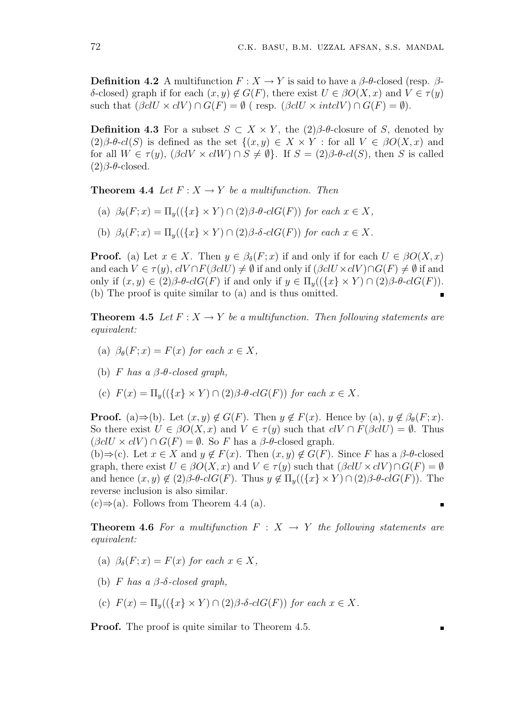**Definition 4.2** A multifunction  $F: X \to Y$  is said to have a  $\beta$ -θ-closed (resp.  $\beta$ δ-closed) graph if for each  $(x, y) \notin G(F)$ , there exist  $U \in \beta O(X, x)$  and  $V \in \tau(y)$ such that  $(\beta c l U \times c l V) \cap G(F) = \emptyset$  (resp.  $(\beta c l U \times int c l V) \cap G(F) = \emptyset$ ).

**Definition 4.3** For a subset  $S \subset X \times Y$ , the  $(2)\beta$ -θ-closure of S, denoted by  $(2)\beta$ - $\theta$ -cl(S) is defined as the set  $\{(x, y) \in X \times Y :$  for all  $V \in \beta O(X, x)$  and for all  $W \in \tau(y)$ ,  $(\beta c V \times c l W) \cap S \neq \emptyset$ . If  $S = (2) \beta \cdot \theta \cdot c l(S)$ , then S is called (2)β-θ-closed.

**Theorem 4.4** Let  $F: X \to Y$  be a multifunction. Then

- (a)  $\beta_{\theta}(F; x) = \Pi_{y}(\{\{x\} \times Y) \cap (2)\beta \cdot \theta \cdot clG(F)\}$  for each  $x \in X$ ,
- (b)  $\beta_{\delta}(F; x) = \Pi_y(\{\{x\} \times Y) \cap (2)\beta \cdot \delta \cdot clG(F)\}\$  for each  $x \in X$ .

**Proof.** (a) Let  $x \in X$ . Then  $y \in \beta_{\delta}(F; x)$  if and only if for each  $U \in \beta O(X, x)$ and each  $V \in \tau(y)$ ,  $clV \cap F(\beta clU) \neq \emptyset$  if and only if  $(\beta clU \times clV) \cap G(F) \neq \emptyset$  if and only if  $(x, y) \in (2)\beta$ - $\theta$ - $c l G(F)$  if and only if  $y \in \Pi_u((\{x\} \times Y) \cap (2)\beta$ - $\theta$ - $c l G(F)$ ). (b) The proof is quite similar to (a) and is thus omitted.

**Theorem 4.5** Let  $F: X \to Y$  be a multifunction. Then following statements are equivalent:

- (a)  $\beta_{\theta}(F; x) = F(x)$  for each  $x \in X$ ,
- (b) F has a  $\beta$ - $\theta$ -closed graph,

(c)  $F(x) = \Pi_y((\{x\} \times Y) \cap (2)\beta \cdot \theta \cdot clG(F))$  for each  $x \in X$ .

**Proof.** (a)⇒(b). Let  $(x, y) \notin G(F)$ . Then  $y \notin F(x)$ . Hence by (a),  $y \notin \beta_{\theta}(F; x)$ . So there exist  $U \in \beta O(X, x)$  and  $V \in \tau(y)$  such that  $cV \cap F(\beta cUV) = \emptyset$ . Thus  $(\beta c l U \times c l V) \cap G(F) = \emptyset$ . So F has a  $\beta$ -θ-closed graph.

(b)⇒(c). Let  $x \in X$  and  $y \notin F(x)$ . Then  $(x, y) \notin G(F)$ . Since F has a  $\beta$ - $\theta$ -closed graph, there exist  $U \in \beta O(X, x)$  and  $V \in \tau(y)$  such that  $(\beta c l U \times c l V) \cap G(F) = \emptyset$ and hence  $(x, y) \notin (2)\beta$ - $\theta$ -clG(F). Thus  $y \notin \Pi_y((\{x\} \times Y) \cap (2)\beta$ - $\theta$ -clG(F)). The reverse inclusion is also similar.

π

 $(c) \Rightarrow (a)$ . Follows from Theorem 4.4 (a).

**Theorem 4.6** For a multifunction  $F : X \rightarrow Y$  the following statements are equivalent:

- (a)  $\beta_{\delta}(F; x) = F(x)$  for each  $x \in X$ ,
- (b) F has a  $\beta$ - $\delta$ -closed graph,

(c) 
$$
F(x) = \Pi_y((\{x\} \times Y) \cap (2)\beta \cdot \delta \cdot clG(F))
$$
 for each  $x \in X$ .

**Proof.** The proof is quite similar to Theorem 4.5.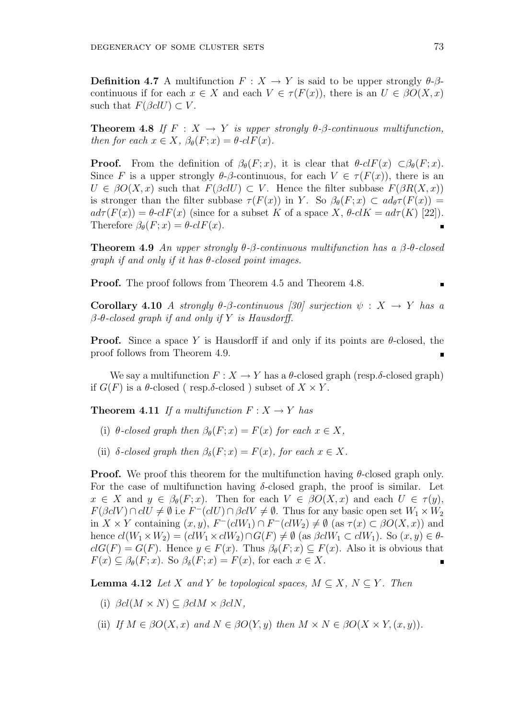**Definition 4.7** A multifunction  $F: X \to Y$  is said to be upper strongly  $\theta$ - $\beta$ continuous if for each  $x \in X$  and each  $V \in \tau(F(x))$ , there is an  $U \in \beta O(X, x)$ such that  $F(\beta \text{cl} U) \subset V$ .

**Theorem 4.8** If  $F : X \to Y$  is upper strongly  $\theta$ - $\beta$ -continuous multifunction, then for each  $x \in X$ ,  $\beta_{\theta}(F; x) = \theta$ -cl $F(x)$ .

**Proof.** From the definition of  $\beta_{\theta}(F; x)$ , it is clear that  $\theta$ -clF(x) ⊂ $\beta_{\theta}(F; x)$ . Since F is a upper strongly  $\theta$ - $\beta$ -continuous, for each  $V \in \tau(F(x))$ , there is an  $U \in \beta O(X, x)$  such that  $F(\beta c U) \subset V$ . Hence the filter subbase  $F(\beta R(X, x))$ is stronger than the filter subbase  $\tau(F(x))$  in Y. So  $\beta_{\theta}(F; x) \subset \alpha d_{\theta} \tau(F(x)) =$  $ad\tau(F(x)) = \theta$ -cl $F(x)$  (since for a subset K of a space X,  $\theta$ -cl $K = ad\tau(K)$  [22]). Therefore  $\beta_{\theta}(F; x) = \theta \text{-}clF(x)$ .

Theorem 4.9 An upper strongly  $\theta$ -β-continuous multifunction has a  $\beta$ -θ-closed qraph if and only if it has  $\theta$ -closed point images.

Proof. The proof follows from Theorem 4.5 and Theorem 4.8.

Corollary 4.10 A strongly  $\theta$ - $\beta$ -continuous [30] surjection  $\psi : X \to Y$  has a β-θ-closed graph if and only if Y is Hausdorff.

**Proof.** Since a space Y is Hausdorff if and only if its points are  $\theta$ -closed, the proof follows from Theorem 4.9.

We say a multifunction  $F: X \to Y$  has a  $\theta$ -closed graph (resp. $\delta$ -closed graph) if  $G(F)$  is a  $\theta$ -closed (resp. $\delta$ -closed) subset of  $X \times Y$ .

**Theorem 4.11** If a multifunction  $F: X \to Y$  has

- (i)  $\theta$ -closed graph then  $\beta_{\theta}(F; x) = F(x)$  for each  $x \in X$ ,
- (ii)  $\delta$ -closed graph then  $\beta_{\delta}(F; x) = F(x)$ , for each  $x \in X$ .

**Proof.** We proof this theorem for the multifunction having  $\theta$ -closed graph only. For the case of multifunction having  $\delta$ -closed graph, the proof is similar. Let  $x \in X$  and  $y \in \beta_{\theta}(F; x)$ . Then for each  $V \in \beta O(X, x)$  and each  $U \in \tau(y)$ ,  $F(\beta c V) \cap c l U \neq \emptyset$  i.e  $F^{-}(c l U) \cap \beta c l V \neq \emptyset$ . Thus for any basic open set  $W_1 \times W_2$ in  $X \times Y$  containing  $(x, y)$ ,  $F^{-}(c l W_1) \cap F^{-}(c l W_2) \neq \emptyset$  (as  $\tau(x) \subset \beta O(X, x)$ ) and hence  $cl(W_1 \times W_2) = (clW_1 \times clW_2) \cap G(F) \neq \emptyset$  (as  $\beta clW_1 \subset clW_1$ ). So  $(x, y) \in \theta$  $clG(F) = G(F)$ . Hence  $y \in F(x)$ . Thus  $\beta_{\theta}(F; x) \subseteq F(x)$ . Also it is obvious that  $F(x) \subseteq \beta_{\theta}(F; x)$ . So  $\beta_{\delta}(F; x) = F(x)$ , for each  $x \in X$ .

**Lemma 4.12** Let X and Y be topological spaces,  $M \subseteq X$ ,  $N \subseteq Y$ . Then

(i)  $\beta cl(M \times N) \subseteq \beta clM \times \beta clN$ ,

(ii) If 
$$
M \in \beta O(X, x)
$$
 and  $N \in \beta O(Y, y)$  then  $M \times N \in \beta O(X \times Y, (x, y))$ .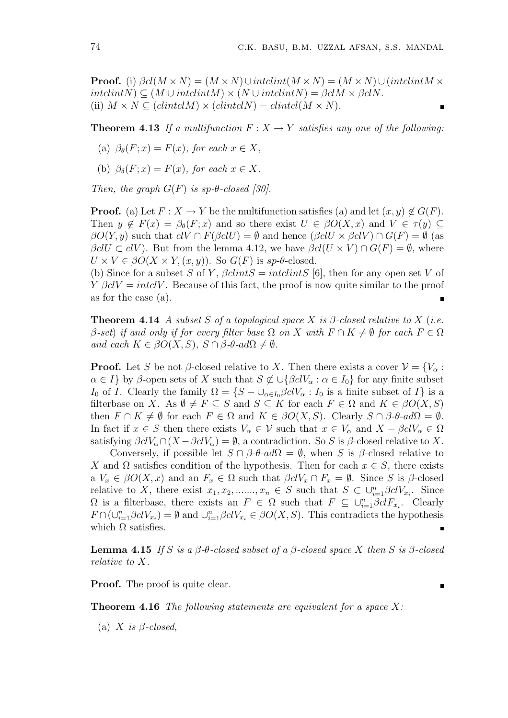**Proof.** (i)  $\beta cl(M \times N) = (M \times N) \cup \text{interlimit}(M \times N) = (M \times N) \cup (\text{interlimit}(M \times N))$  $intclintN$   $\subset$   $(M \cup intclintM) \times (N \cup intclintN) = \beta c l M \times \beta c l N$ . (ii)  $M \times N \subseteq (clintclM) \times (clintclN) = clintcl(M \times N)$ .

**Theorem 4.13** If a multifunction  $F: X \to Y$  satisfies any one of the following:

- (a)  $\beta_{\theta}(F; x) = F(x)$ , for each  $x \in X$ ,
- (b)  $\beta_{\delta}(F; x) = F(x)$ , for each  $x \in X$ .

Then, the graph  $G(F)$  is sp- $\theta$ -closed [30].

**Proof.** (a) Let  $F: X \to Y$  be the multifunction satisfies (a) and let  $(x, y) \notin G(F)$ . Then  $y \notin F(x) = \beta_{\theta}(F; x)$  and so there exist  $U \in \beta O(X, x)$  and  $V \in \tau(y) \subseteq$  $\beta O(Y, y)$  such that  $c(V \cap F(\beta cUV)) = \emptyset$  and hence  $(\beta cUV \times \beta cVV) \cap G(F) = \emptyset$  (as  $\beta \ell U \subset \ell V$ ). But from the lemma 4.12, we have  $\beta \ell U \times V \cap G(F) = \emptyset$ , where  $U \times V \in \beta O(X \times Y,(x,y))$ . So  $G(F)$  is  $sp$ - $\theta$ -closed.

(b) Since for a subset S of Y,  $\beta clintS = intclintS$  [6], then for any open set V of  $Y \beta c V = \text{int} c V$ . Because of this fact, the proof is now quite similar to the proof as for the case (a).

**Theorem 4.14** A subset S of a topological space X is  $\beta$ -closed relative to X (i.e. β-set) if and only if for every filter base  $Ω$  on  $X$  with  $F ∩ K ≠ ∅$  for each  $F ∈ Ω$ and each  $K \in \beta O(X, S)$ ,  $S \cap \beta \cdot \theta \cdot ad\Omega \neq \emptyset$ .

**Proof.** Let S be not β-closed relative to X. Then there exists a cover  $\mathcal{V} = \{V_{\alpha} :$  $\alpha \in I$  by  $\beta$ -open sets of X such that  $S \not\subset \bigcup \{\beta cl V_\alpha : \alpha \in I_0\}$  for any finite subset I<sub>0</sub> of I. Clearly the family  $\Omega = \{S - \bigcup_{\alpha \in I_0} \beta c l V_\alpha : I_0 \text{ is a finite subset of } I\}$  is a filterbase on X. As  $\emptyset \neq F \subseteq S$  and  $S \subseteq K$  for each  $F \in \Omega$  and  $K \in \beta O(X, S)$ then  $F \cap K \neq \emptyset$  for each  $F \in \Omega$  and  $K \in \beta O(X, S)$ . Clearly  $S \cap \beta$ - $\theta$ -ad $\Omega = \emptyset$ . In fact if  $x \in S$  then there exists  $V_\alpha \in \mathcal{V}$  such that  $x \in V_\alpha$  and  $X - \beta c l V_\alpha \in \Omega$ satisfying  $\beta c V_\alpha \cap (X - \beta c V_\alpha) = \emptyset$ , a contradiction. So S is  $\beta$ -closed relative to X.

Conversely, if possible let  $S \cap \beta$ - $\theta$ -ad $\Omega = \emptyset$ , when S is  $\beta$ -closed relative to X and  $\Omega$  satisfies condition of the hypothesis. Then for each  $x \in S$ , there exists a  $V_x \in \beta O(X, x)$  and an  $F_x \in \Omega$  such that  $\beta c V_x \cap F_x = \emptyset$ . Since S is  $\beta$ -closed relative to X, there exist  $x_1, x_2, \ldots, x_n \in S$  such that  $S \subset \bigcup_{i=1}^n \beta clV_{x_i}$ . Since  $\Omega$  is a filterbase, there exists an  $F \in \Omega$  such that  $F \subseteq \bigcup_{i=1}^n \beta cl F_{x_i}$ . Clearly  $F \cap (\cup_{i=1}^n \beta cl V_{x_i}) = \emptyset$  and  $\cup_{i=1}^n \beta cl V_{x_i} \in \beta O(X, S)$ . This contradicts the hypothesis which  $\Omega$  satisfies.

**Lemma 4.15** If S is a  $\beta$ - $\theta$ -closed subset of a  $\beta$ -closed space X then S is  $\beta$ -closed relative to X.

 $\blacksquare$ 

**Proof.** The proof is quite clear.

**Theorem 4.16** The following statements are equivalent for a space  $X$ :

(a) X is  $\beta$ -closed,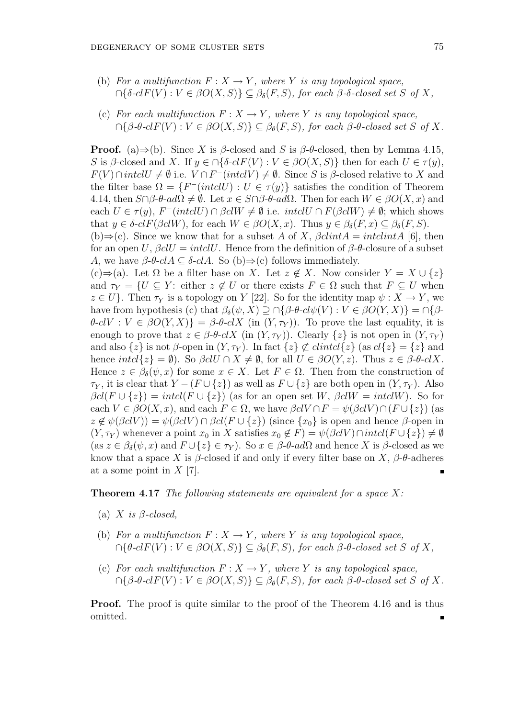- (b) For a multifunction  $F: X \to Y$ , where Y is any topological space,  $\bigcap \{\delta\negthinspace\negthinspace\cdot cl\hskip.03cm F(V): V\in\beta\mathit{O}(X,S)\}\subseteq \beta_\delta(F,S)$ , for each  $\beta\textnormal{-}\delta\textnormal{-closed set }S$  of X,
- (c) For each multifunction  $F: X \to Y$ , where Y is any topological space,  $\bigcap \{\beta \cdot \theta \cdot \mathit{clF}(V) : V \in \beta O(X, S) \} \subseteq \beta_{\theta}(F, S)$ , for each  $\beta \cdot \theta \cdot \mathit{closed} \ set S$  of X.

**Proof.** (a)⇒(b). Since X is  $\beta$ -closed and S is  $\beta$ - $\theta$ -closed, then by Lemma 4.15, S is β-closed and X. If  $y \in \bigcap \{\delta \text{-}clF(V) : V \in \beta O(X, S)\}\)$  then for each  $U \in \tau(y)$ ,  $F(V) \cap \text{int} \text{cl} U \neq \emptyset$  i.e.  $V \cap F^{-}(\text{int} \text{cl} V) \neq \emptyset$ . Since S is  $\beta$ -closed relative to X and the filter base  $\Omega = \{F^{-}(intclU) : U \in \tau(y)\}\$  satisfies the condition of Theorem 4.14, then  $S \cap \beta$ - $\theta$ -ad $\Omega \neq \emptyset$ . Let  $x \in S \cap \beta$ - $\theta$ -ad $\Omega$ . Then for each  $W \in \beta O(X, x)$  and each  $U \in \tau(y)$ ,  $F^{-}(\text{intcl } U) \cap \beta \text{cl } W \neq \emptyset$  i.e.  $\text{intcl } U \cap F(\beta \text{cl } W) \neq \emptyset$ ; which shows that  $y \in \delta$ -clF( $\beta$ clW), for each  $W \in \beta O(X, x)$ . Thus  $y \in \beta_{\delta}(F, x) \subseteq \beta_{\delta}(F, S)$ .

(b) $\Rightarrow$ (c). Since we know that for a subset A of X,  $\beta clint A = intclint A$  [6], then for an open U,  $\beta$ clU = intclU. Hence from the definition of  $\beta$ - $\theta$ -closure of a subset A, we have  $\beta$ - $\theta$ - $c\lambda A \subseteq \delta$ - $c\lambda A$ . So (b) $\Rightarrow$ (c) follows immediately.

(c)⇒(a). Let  $\Omega$  be a filter base on X. Let  $z \notin X$ . Now consider  $Y = X \cup \{z\}$ and  $\tau_Y = \{U \subseteq Y: \text{ either } z \notin U \text{ or there exists } F \in \Omega \text{ such that } F \subseteq U \text{ when }$  $z \in U$ . Then  $\tau_Y$  is a topology on Y [22]. So for the identity map  $\psi : X \to Y$ , we have from hypothesis (c) that  $\beta_{\delta}(\psi, X) \supseteq \bigcap \{\beta \cdot \theta \cdot \mathrm{cl}\psi(V) : V \in \beta \mathrm{O}(Y, X)\} = \bigcap \{\beta \cdot \theta \cdot \mathrm{cl}\psi(V) : V \in \beta \mathrm{O}(Y, X)\}$  $\theta$ -clV :  $V \in \beta O(Y,X)$ } =  $\beta$ - $\theta$ -clX (in  $(Y,\tau_Y)$ ). To prove the last equality, it is enough to prove that  $z \in \beta-\theta - cX$  (in  $(Y, \tau_Y)$ ). Clearly  $\{z\}$  is not open in  $(Y, \tau_Y)$ and also  $\{z\}$  is not  $\beta$ -open in  $(Y, \tau_Y)$ . In fact  $\{z\} \not\subset \mathit{clintcl}\{z\}$  (as  $\mathit{cl}\{z\} = \{z\}$  and hence  $intcl\{z\} = \emptyset$ ). So  $\beta clU \cap X \neq \emptyset$ , for all  $U \in \beta O(Y, z)$ . Thus  $z \in \beta$ - $elX$ . Hence  $z \in \beta_{\delta}(\psi, x)$  for some  $x \in X$ . Let  $F \in \Omega$ . Then from the construction of  $\tau_Y$ , it is clear that  $Y - (F \cup \{z\})$  as well as  $F \cup \{z\}$  are both open in  $(Y, \tau_Y)$ . Also  $\beta cl(F \cup \{z\}) = intcl(F \cup \{z\})$  (as for an open set W,  $\beta clW = intclW$ ). So for each  $V \in \beta O(X, x)$ , and each  $F \in \Omega$ , we have  $\beta c V \cap F = \psi(\beta c V) \cap (F \cup \{z\})$  (as  $z \notin \psi(\beta c l V) = \psi(\beta c l V) \cap \beta c l (F \cup \{z\})$  (since  $\{x_0\}$  is open and hence  $\beta$ -open in  $(Y, \tau_Y)$  whenever a point  $x_0$  in X satisfies  $x_0 \notin F$  =  $\psi(\beta c V) \cap \text{intcl}(F \cup \{z\}) \neq \emptyset$ (as  $z \in \beta_{\delta}(\psi, x)$  and  $F \cup \{z\} \in \tau_Y$ ). So  $x \in \beta$ -θ-ad $\Omega$  and hence X is  $\beta$ -closed as we know that a space X is  $\beta$ -closed if and only if every filter base on X,  $\beta$ - $\theta$ -adheres at a some point in  $X$  [7].

#### **Theorem 4.17** The following statements are equivalent for a space  $X$ :

- (a) X is  $\beta$ -closed,
- (b) For a multifunction  $F: X \to Y$ , where Y is any topological space,  $\bigcap \{\theta \text{-}clF(V) : V \in \beta O(X, S) \} \subseteq \beta_{\theta}(F, S)$ , for each  $\beta$ - $\theta$ -closed set S of X,
- (c) For each multifunction  $F: X \to Y$ , where Y is any topological space,  $\bigcap \{\beta \cdot \theta \cdot \mathit{clF}(V) : V \in \beta O(X, S) \} \subseteq \beta_{\theta}(F, S)$ , for each  $\beta \cdot \theta \cdot \mathit{closed} \ set S$  of X.

Proof. The proof is quite similar to the proof of the Theorem 4.16 and is thus omitted.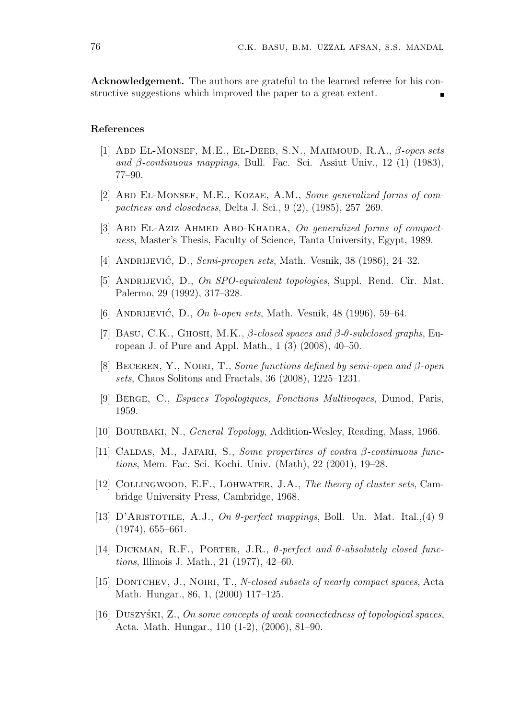Acknowledgement. The authors are grateful to the learned referee for his constructive suggestions which improved the paper to a great extent.

### References

- [1] ABD EL-MONSEF, M.E., EL-DEEB, S.N., MAHMOUD, R.A.,  $\beta$ -open sets and  $\beta$ -continuous mappings, Bull. Fac. Sci. Assiut Univ., 12 (1) (1983), 77–90.
- [2] ABD EL-MONSEF, M.E., KOZAE, A.M., Some generalized forms of compactness and closedness, Delta J. Sci., 9 (2), (1985), 257–269.
- [3] ABD EL-AZIZ AHMED ABO-KHADRA, On generalized forms of compactness, Master's Thesis, Faculty of Science, Tanta University, Egypt, 1989.
- [4] ANDRIJEVIĆ, D., Semi-preopen sets, Math. Vesnik, 38 (1986), 24–32.
- [5] ANDRIJEVIĆ, D., On SPO-equivalent topologies, Suppl. Rend. Cir. Mat. Palermo, 29 (1992), 317–328.
- [6] ANDRIJEVIĆ, D., On b-open sets, Math. Vesnik,  $48$  (1996), 59–64.
- [7] BASU, C.K., GHOSH, M.K.,  $\beta$ -closed spaces and  $\beta$ -θ-subclosed graphs, European J. of Pure and Appl. Math., 1 (3) (2008), 40–50.
- [8] BECEREN, Y., NOIRI, T., Some functions defined by semi-open and  $\beta$ -open sets, Chaos Solitons and Fractals, 36 (2008), 1225–1231.
- [9] Berge, C., Espaces Topologiques, Fonctions Multivoques, Dunod, Paris, 1959.
- [10] BOURBAKI, N., *General Topology*, Addition-Wesley, Reading, Mass, 1966.
- [11] CALDAS, M., JAFARI, S., Some propertires of contra  $\beta$ -continuous functions, Mem. Fac. Sci. Kochi. Univ. (Math), 22 (2001), 19–28.
- [12] COLLINGWOOD, E.F., LOHWATER, J.A., The theory of cluster sets, Cambridge University Press, Cambridge, 1968.
- [13] D'ARISTOTILE, A.J., On  $\theta$ -perfect mappings, Boll. Un. Mat. Ital.,(4) 9  $(1974), 655-661.$
- [14] DICKMAN, R.F., PORTER, J.R.,  $\theta$ -perfect and  $\theta$ -absolutely closed functions, Illinois J. Math., 21 (1977), 42–60.
- [15] DONTCHEV, J., NOIRI, T., N-closed subsets of nearly compact spaces, Acta Math. Hungar., 86, 1, (2000) 117–125.
- [16] DUSZYSKI, Z., On some concepts of weak connectedness of topological spaces, Acta. Math. Hungar., 110 (1-2), (2006), 81–90.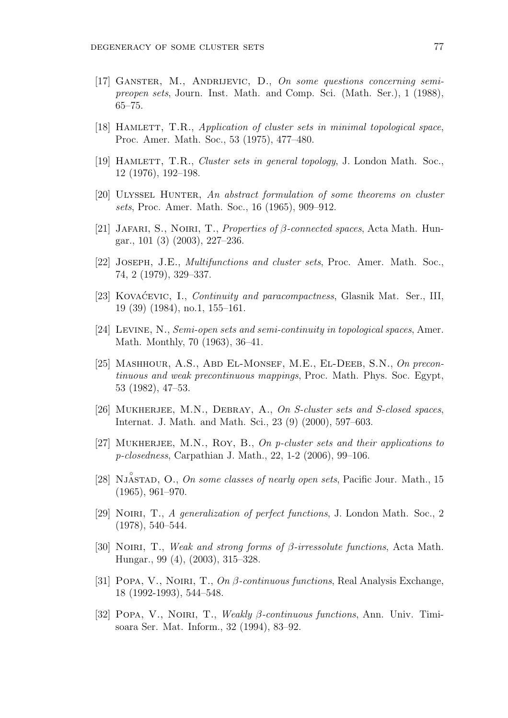- [17] Ganster, M., Andrijevic, D., On some questions concerning semipreopen sets, Journ. Inst. Math. and Comp. Sci. (Math. Ser.), 1 (1988), 65–75.
- [18] HAMLETT, T.R., Application of cluster sets in minimal topological space, Proc. Amer. Math. Soc., 53 (1975), 477–480.
- [19] HAMLETT, T.R., *Cluster sets in general topology*, J. London Math. Soc., 12 (1976), 192–198.
- [20] ULYSSEL HUNTER, An abstract formulation of some theorems on cluster sets, Proc. Amer. Math. Soc., 16 (1965), 909–912.
- [21] JAFARI, S., NOIRI, T., Properties of  $\beta$ -connected spaces, Acta Math. Hungar., 101 (3) (2003), 227–236.
- [22] Joseph, J.E., Multifunctions and cluster sets, Proc. Amer. Math. Soc., 74, 2 (1979), 329–337.
- [23] KOVACEVIC, I., *Continuity and paracompactness*, Glasnik Mat. Ser., III, 19 (39) (1984), no.1, 155–161.
- [24] Levine, N., Semi-open sets and semi-continuity in topological spaces, Amer. Math. Monthly, 70 (1963), 36–41.
- [25] MASHHOUR, A.S., ABD EL-MONSEF, M.E., EL-DEEB, S.N., On precontinuous and weak precontinuous mappings, Proc. Math. Phys. Soc. Egypt, 53 (1982), 47–53.
- [26] MUKHERJEE, M.N., DEBRAY, A., On S-cluster sets and S-closed spaces, Internat. J. Math. and Math. Sci., 23 (9) (2000), 597–603.
- [27] MUKHERJEE, M.N., ROY, B., On p-cluster sets and their applications to p-closedness, Carpathian J. Math., 22, 1-2 (2006), 99–106.
- [28] NJASTAD, O., On some classes of nearly open sets, Pacific Jour. Math., 15 (1965), 961–970.
- [29] Noiri, T., A generalization of perfect functions, J. London Math. Soc., 2 (1978), 540–544.
- [30] NOIRI, T., Weak and strong forms of  $\beta$ -irressolute functions, Acta Math. Hungar., 99 (4), (2003), 315–328.
- [31] POPA, V., NOIRI, T.,  $On \beta$ -continuous functions, Real Analysis Exchange, 18 (1992-1993), 544–548.
- [32] Popa, V., Noiri, T., Weakly β-continuous functions, Ann. Univ. Timisoara Ser. Mat. Inform., 32 (1994), 83–92.